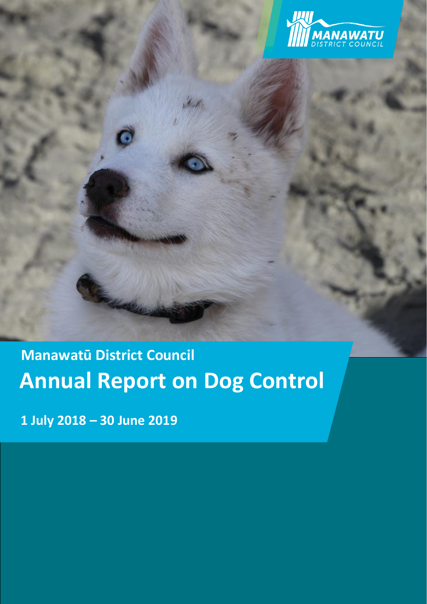

# **Annual Report on Dog Control Manawatū District Council**

**1 July 2018 – 30 June 2019**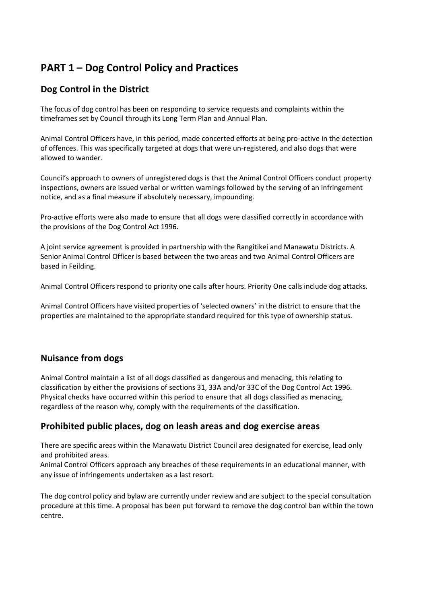# **PART 1 – Dog Control Policy and Practices**

### **Dog Control in the District**

The focus of dog control has been on responding to service requests and complaints within the timeframes set by Council through its Long Term Plan and Annual Plan.

Animal Control Officers have, in this period, made concerted efforts at being pro-active in the detection of offences. This was specifically targeted at dogs that were un-registered, and also dogs that were allowed to wander.

Council's approach to owners of unregistered dogs is that the Animal Control Officers conduct property inspections, owners are issued verbal or written warnings followed by the serving of an infringement notice, and as a final measure if absolutely necessary, impounding.

Pro-active efforts were also made to ensure that all dogs were classified correctly in accordance with the provisions of the Dog Control Act 1996.

A joint service agreement is provided in partnership with the Rangitikei and Manawatu Districts. A Senior Animal Control Officer is based between the two areas and two Animal Control Officers are based in Feilding.

Animal Control Officers respond to priority one calls after hours. Priority One calls include dog attacks.

Animal Control Officers have visited properties of 'selected owners' in the district to ensure that the properties are maintained to the appropriate standard required for this type of ownership status.

## **Nuisance from dogs**

Animal Control maintain a list of all dogs classified as dangerous and menacing, this relating to classification by either the provisions of sections 31, 33A and/or 33C of the Dog Control Act 1996. Physical checks have occurred within this period to ensure that all dogs classified as menacing, regardless of the reason why, comply with the requirements of the classification.

#### **Prohibited public places, dog on leash areas and dog exercise areas**

There are specific areas within the Manawatu District Council area designated for exercise, lead only and prohibited areas.

Animal Control Officers approach any breaches of these requirements in an educational manner, with any issue of infringements undertaken as a last resort.

The dog control policy and bylaw are currently under review and are subject to the special consultation procedure at this time. A proposal has been put forward to remove the dog control ban within the town centre.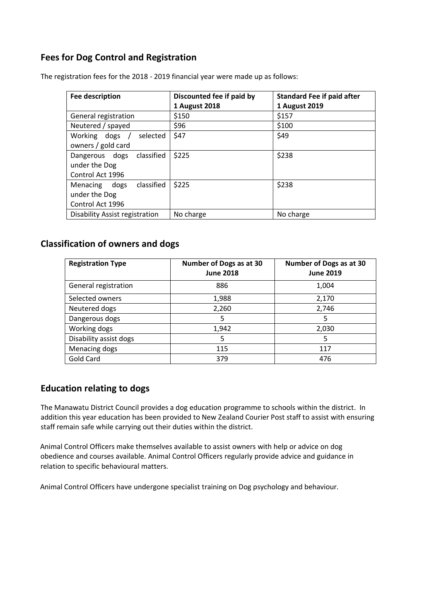## **Fees for Dog Control and Registration**

| <b>Fee description</b>                | Discounted fee if paid by | <b>Standard Fee if paid after</b> |  |
|---------------------------------------|---------------------------|-----------------------------------|--|
|                                       | <b>1 August 2018</b>      | 1 August 2019                     |  |
| General registration                  | \$150                     | \$157                             |  |
| Neutered / spayed                     | \$96                      | \$100                             |  |
| Working dogs /<br>selected            | \$47                      | \$49                              |  |
| owners / gold card                    |                           |                                   |  |
| classified<br>Dangerous dogs          | \$225                     | \$238                             |  |
| under the Dog                         |                           |                                   |  |
| Control Act 1996                      |                           |                                   |  |
| dogs classified<br>Menacing           | \$225                     | \$238                             |  |
| under the Dog                         |                           |                                   |  |
| Control Act 1996                      |                           |                                   |  |
| <b>Disability Assist registration</b> | No charge                 | No charge                         |  |

The registration fees for the 2018 - 2019 financial year were made up as follows:

#### **Classification of owners and dogs**

| <b>Registration Type</b> | Number of Dogs as at 30<br><b>June 2018</b> | Number of Dogs as at 30<br><b>June 2019</b> |
|--------------------------|---------------------------------------------|---------------------------------------------|
| General registration     | 886                                         | 1,004                                       |
| Selected owners          | 1,988                                       | 2,170                                       |
| Neutered dogs            | 2,260                                       | 2,746                                       |
| Dangerous dogs           | 5                                           | 5                                           |
| Working dogs             | 1,942                                       | 2,030                                       |
| Disability assist dogs   | 5                                           | 5                                           |
| Menacing dogs            | 115                                         | 117                                         |
| Gold Card                | 379                                         | 476                                         |

#### **Education relating to dogs**

The Manawatu District Council provides a dog education programme to schools within the district. In addition this year education has been provided to New Zealand Courier Post staff to assist with ensuring staff remain safe while carrying out their duties within the district.

Animal Control Officers make themselves available to assist owners with help or advice on dog obedience and courses available. Animal Control Officers regularly provide advice and guidance in relation to specific behavioural matters.

Animal Control Officers have undergone specialist training on Dog psychology and behaviour.